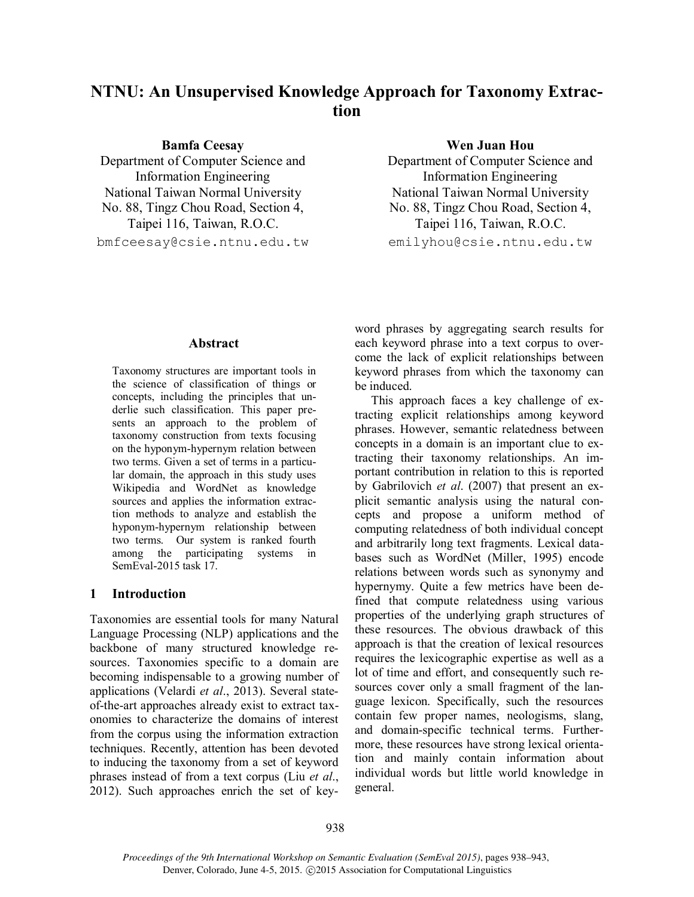# **NTNU: An Unsupervised Knowledge Approach for Taxonomy Extraction**

**Bamfa Ceesay**

Department of Computer Science and Information Engineering National Taiwan Normal University No. 88, Tingz Chou Road, Section 4, Taipei 116, Taiwan, R.O.C.

bmfceesay@csie.ntnu.edu.tw

#### **Wen Juan Hou**

Department of Computer Science and Information Engineering National Taiwan Normal University No. 88, Tingz Chou Road, Section 4, Taipei 116, Taiwan, R.O.C.

emilyhou@csie.ntnu.edu.tw

#### **Abstract**

Taxonomy structures are important tools in the science of classification of things or concepts, including the principles that underlie such classification. This paper presents an approach to the problem of taxonomy construction from texts focusing on the hyponym-hypernym relation between two terms. Given a set of terms in a particular domain, the approach in this study uses Wikipedia and WordNet as knowledge sources and applies the information extraction methods to analyze and establish the hyponym-hypernym relationship between two terms. Our system is ranked fourth among the participating systems in SemEval-2015 task 17.

#### **1 Introduction**

Taxonomies are essential tools for many Natural Language Processing (NLP) applications and the backbone of many structured knowledge resources. Taxonomies specific to a domain are becoming indispensable to a growing number of applications (Velardi *et al*., 2013). Several stateof-the-art approaches already exist to extract taxonomies to characterize the domains of interest from the corpus using the information extraction techniques. Recently, attention has been devoted to inducing the taxonomy from a set of keyword phrases instead of from a text corpus (Liu *et al*., 2012). Such approaches enrich the set of keyword phrases by aggregating search results for each keyword phrase into a text corpus to overcome the lack of explicit relationships between keyword phrases from which the taxonomy can be induced.

This approach faces a key challenge of extracting explicit relationships among keyword phrases. However, semantic relatedness between concepts in a domain is an important clue to extracting their taxonomy relationships. An important contribution in relation to this is reported by Gabrilovich *et al*. (2007) that present an explicit semantic analysis using the natural concepts and propose a uniform method of computing relatedness of both individual concept and arbitrarily long text fragments. Lexical databases such as WordNet (Miller, 1995) encode relations between words such as synonymy and hypernymy. Quite a few metrics have been defined that compute relatedness using various properties of the underlying graph structures of these resources. The obvious drawback of this approach is that the creation of lexical resources requires the lexicographic expertise as well as a lot of time and effort, and consequently such resources cover only a small fragment of the language lexicon. Specifically, such the resources contain few proper names, neologisms, slang, and domain-specific technical terms. Furthermore, these resources have strong lexical orientation and mainly contain information about individual words but little world knowledge in general.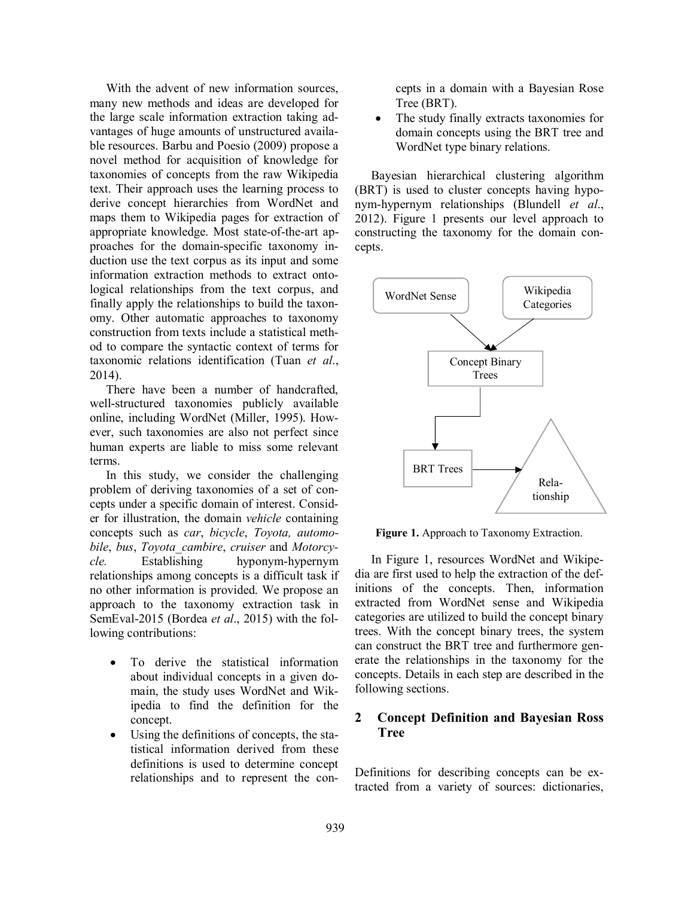With the advent of new information sources, many new methods and ideas are developed for the large scale information extraction taking advantages of huge amounts of unstructured available resources. Barbu and Poesio (2009) propose a novel method for acquisition of knowledge for taxonomies of concepts from the raw Wikipedia text. Their approach uses the learning process to derive concept hierarchies from WordNet and maps them to Wikipedia pages for extraction of appropriate knowledge. Most state-of-the-art approaches for the domain-specific taxonomy induction use the text corpus as its input and some information extraction methods to extract ontological relationships from the text corpus, and finally apply the relationships to build the taxonomy. Other automatic approaches to taxonomy construction from texts include a statistical method to compare the syntactic context of terms for taxonomic relations identification (Tuan *et al*., 2014).

There have been a number of handcrafted, well-structured taxonomies publicly available online, including WordNet (Miller, 1995). However, such taxonomies are also not perfect since human experts are liable to miss some relevant terms.

In this study, we consider the challenging problem of deriving taxonomies of a set of concepts under a specific domain of interest. Consider for illustration, the domain *vehicle* containing concepts such as *car*, *bicycle*, *Toyota, automobile*, *bus*, *Toyota\_cambire*, *cruiser* and *Motorcycle.* Establishing hyponym-hypernym relationships among concepts is a difficult task if no other information is provided. We propose an approach to the taxonomy extraction task in SemEval-2015 (Bordea *et al*., 2015) with the following contributions:

- To derive the statistical information about individual concepts in a given domain, the study uses WordNet and Wikipedia to find the definition for the concept.
- Using the definitions of concepts, the statistical information derived from these definitions is used to determine concept relationships and to represent the con-

cepts in a domain with a Bayesian Rose Tree (BRT).

 The study finally extracts taxonomies for domain concepts using the BRT tree and WordNet type binary relations.

Bayesian hierarchical clustering algorithm (BRT) is used to cluster concepts having hyponym-hypernym relationships (Blundell *et al*., 2012). Figure 1 presents our level approach to constructing the taxonomy for the domain concepts.



**Figure 1.** Approach to Taxonomy Extraction.

In Figure 1, resources WordNet and Wikipedia are first used to help the extraction of the definitions of the concepts. Then, information extracted from WordNet sense and Wikipedia categories are utilized to build the concept binary trees. With the concept binary trees, the system can construct the BRT tree and furthermore generate the relationships in the taxonomy for the concepts. Details in each step are described in the following sections.

## **2 Concept Definition and Bayesian Ross Tree**

Definitions for describing concepts can be extracted from a variety of sources: dictionaries,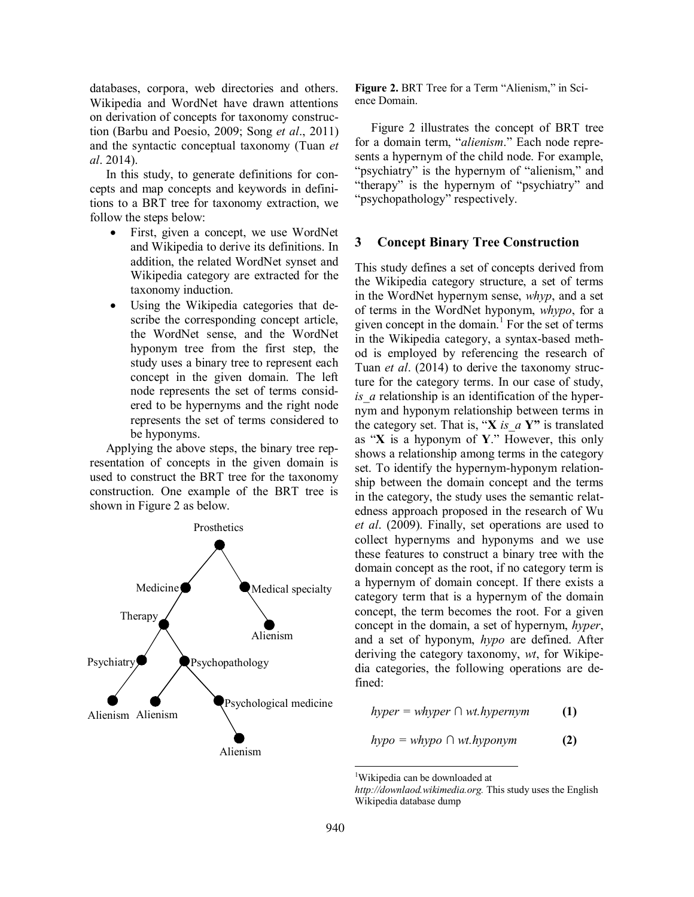databases, corpora, web directories and others. Wikipedia and WordNet have drawn attentions on derivation of concepts for taxonomy construction (Barbu and Poesio, 2009; Song *et al*., 2011) and the syntactic conceptual taxonomy (Tuan *et al*. 2014).

In this study, to generate definitions for concepts and map concepts and keywords in definitions to a BRT tree for taxonomy extraction, we follow the steps below:

- First, given a concept, we use WordNet and Wikipedia to derive its definitions. In addition, the related WordNet synset and Wikipedia category are extracted for the taxonomy induction.
- Using the Wikipedia categories that describe the corresponding concept article, the WordNet sense, and the WordNet hyponym tree from the first step, the study uses a binary tree to represent each concept in the given domain. The left node represents the set of terms considered to be hypernyms and the right node represents the set of terms considered to be hyponyms.

Applying the above steps, the binary tree representation of concepts in the given domain is used to construct the BRT tree for the taxonomy construction. One example of the BRT tree is shown in Figure 2 as below.



Figure 2. BRT Tree for a Term "Alienism," in Science Domain.

Figure 2 illustrates the concept of BRT tree for a domain term, "*alienism*." Each node represents a hypernym of the child node. For example, "psychiatry" is the hypernym of "alienism," and "therapy" is the hypernym of "psychiatry" and "psychopathology" respectively.

#### **3 Concept Binary Tree Construction**

This study defines a set of concepts derived from the Wikipedia category structure, a set of terms in the WordNet hypernym sense, *whyp*, and a set of terms in the WordNet hyponym, *whypo*, for a given concept in the domain.<sup>1</sup> For the set of terms in the Wikipedia category, a syntax-based method is employed by referencing the research of Tuan *et al*. (2014) to derive the taxonomy structure for the category terms. In our case of study, *is\_a* relationship is an identification of the hypernym and hyponym relationship between terms in the category set. That is, " $X$  *is a*  $Y$ " is translated as "**X** is a hyponym of **Y**." However, this only shows a relationship among terms in the category set. To identify the hypernym-hyponym relationship between the domain concept and the terms in the category, the study uses the semantic relatedness approach proposed in the research of Wu *et al*. (2009). Finally, set operations are used to collect hypernyms and hyponyms and we use these features to construct a binary tree with the domain concept as the root, if no category term is a hypernym of domain concept. If there exists a category term that is a hypernym of the domain concept, the term becomes the root. For a given concept in the domain, a set of hypernym, *hyper*, and a set of hyponym, *hypo* are defined. After deriving the category taxonomy, *wt*, for Wikipedia categories, the following operations are defined:

 $hyper = whyper \cap wt.hypernym$  (1)

$$
hypo = whypo \cap wt. hyponym
$$
 (2)

 $\overline{a}$ 

<sup>1</sup>Wikipedia can be downloaded at

*http://downlaod.wikimedia.org.* This study uses the English Wikipedia database dump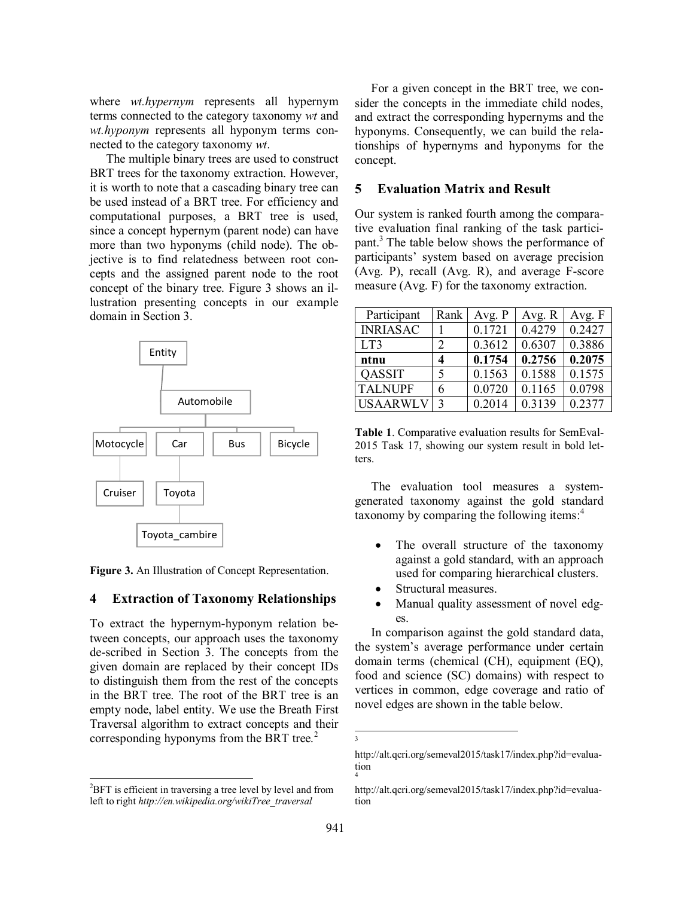where *wt.hypernym* represents all hypernym terms connected to the category taxonomy *wt* and *wt.hyponym* represents all hyponym terms connected to the category taxonomy *wt*.

The multiple binary trees are used to construct BRT trees for the taxonomy extraction. However, it is worth to note that a cascading binary tree can be used instead of a BRT tree. For efficiency and computational purposes, a BRT tree is used, since a concept hypernym (parent node) can have more than two hyponyms (child node). The objective is to find relatedness between root concepts and the assigned parent node to the root concept of the binary tree. Figure 3 shows an illustration presenting concepts in our example domain in Section 3.



**Figure 3.** An Illustration of Concept Representation.

#### **4 Extraction of Taxonomy Relationships**

To extract the hypernym-hyponym relation between concepts, our approach uses the taxonomy de-scribed in Section 3. The concepts from the given domain are replaced by their concept IDs to distinguish them from the rest of the concepts in the BRT tree. The root of the BRT tree is an empty node, label entity. We use the Breath First Traversal algorithm to extract concepts and their corresponding hyponyms from the BRT tree. $2^2$ 

 $\overline{a}$ 

For a given concept in the BRT tree, we consider the concepts in the immediate child nodes, and extract the corresponding hypernyms and the hyponyms. Consequently, we can build the relationships of hypernyms and hyponyms for the concept.

### **5 Evaluation Matrix and Result**

Our system is ranked fourth among the comparative evaluation final ranking of the task participant. <sup>3</sup> The table below shows the performance of participants' system based on average precision (Avg. P), recall (Avg. R), and average F-score measure (Avg. F) for the taxonomy extraction.

| Participant     | Rank          | Avg. P | Avg. R | Avg. F |
|-----------------|---------------|--------|--------|--------|
| <b>INRIASAC</b> |               | 0.1721 | 0.4279 | 0.2427 |
| LT3             | 2             | 0.3612 | 0.6307 | 0.3886 |
| ntnu            |               | 0.1754 | 0.2756 | 0.2075 |
| <b>QASSIT</b>   |               | 0.1563 | 0.1588 | 0.1575 |
| <b>TALNUPF</b>  | 6             | 0.0720 | 0.1165 | 0.0798 |
| <b>USAARWLV</b> | $\mathcal{R}$ | 0.2014 | 0.3139 | 0.2377 |

**Table 1**. Comparative evaluation results for SemEval-2015 Task 17, showing our system result in bold letters.

The evaluation tool measures a systemgenerated taxonomy against the gold standard taxonomy by comparing the following items: 4

- The overall structure of the taxonomy against a gold standard, with an approach used for comparing hierarchical clusters.
- Structural measures.
- Manual quality assessment of novel edges.

In comparison against the gold standard data, the system's average performance under certain domain terms (chemical (CH), equipment (EQ), food and science (SC) domains) with respect to vertices in common, edge coverage and ratio of novel edges are shown in the table below.

 $\overline{a}$ 3

 ${}^{2}$ BFT is efficient in traversing a tree level by level and from left to right *http://en.wikipedia.org/wikiTree\_traversal* 

http://alt.qcri.org/semeval2015/task17/index.php?id=evaluation 4

http://alt.qcri.org/semeval2015/task17/index.php?id=evaluation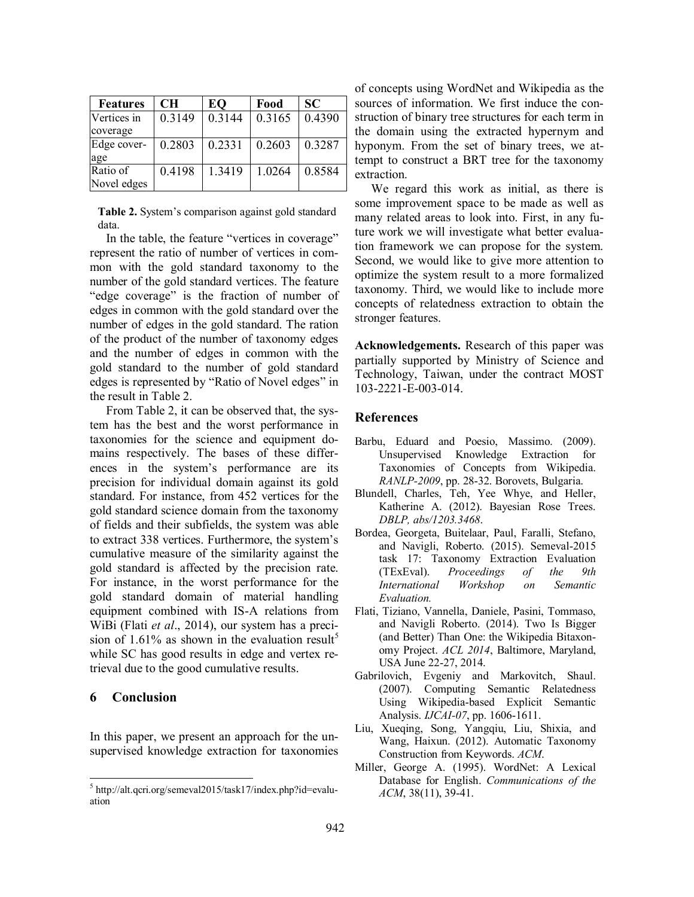| <b>Features</b> | CН     | EQ     | Food   | <b>SC</b> |
|-----------------|--------|--------|--------|-----------|
| Vertices in     | 0.3149 | 0.3144 | 0.3165 | 0.4390    |
| coverage        |        |        |        |           |
| Edge cover-     | 0.2803 | 0.2331 | 0.2603 | 0.3287    |
| age             |        |        |        |           |
| Ratio of        | 0.4198 | 1.3419 | 1.0264 | 0.8584    |
| Novel edges     |        |        |        |           |

**Table 2.** System's comparison against gold standard data.

In the table, the feature "vertices in coverage" represent the ratio of number of vertices in common with the gold standard taxonomy to the number of the gold standard vertices. The feature "edge coverage" is the fraction of number of edges in common with the gold standard over the number of edges in the gold standard. The ration of the product of the number of taxonomy edges and the number of edges in common with the gold standard to the number of gold standard edges is represented by "Ratio of Novel edges" in the result in Table 2.

From Table 2, it can be observed that, the system has the best and the worst performance in taxonomies for the science and equipment domains respectively. The bases of these differences in the system's performance are its precision for individual domain against its gold standard. For instance, from 452 vertices for the gold standard science domain from the taxonomy of fields and their subfields, the system was able to extract 338 vertices. Furthermore, the system's cumulative measure of the similarity against the gold standard is affected by the precision rate. For instance, in the worst performance for the gold standard domain of material handling equipment combined with IS-A relations from WiBi (Flati *et al*., 2014), our system has a precision of  $1.61\%$  as shown in the evaluation result<sup>5</sup> while SC has good results in edge and vertex retrieval due to the good cumulative results.

### **6 Conclusion**

 $\overline{a}$ 

In this paper, we present an approach for the unsupervised knowledge extraction for taxonomies of concepts using WordNet and Wikipedia as the sources of information. We first induce the construction of binary tree structures for each term in the domain using the extracted hypernym and hyponym. From the set of binary trees, we attempt to construct a BRT tree for the taxonomy extraction.

We regard this work as initial, as there is some improvement space to be made as well as many related areas to look into. First, in any future work we will investigate what better evaluation framework we can propose for the system. Second, we would like to give more attention to optimize the system result to a more formalized taxonomy. Third, we would like to include more concepts of relatedness extraction to obtain the stronger features.

**Acknowledgements.** Research of this paper was partially supported by Ministry of Science and Technology, Taiwan, under the contract MOST 103-2221-E-003-014.

#### **References**

- Barbu, Eduard and Poesio, Massimo. (2009). Unsupervised Knowledge Extraction for Taxonomies of Concepts from Wikipedia. *RANLP-2009*, pp. 28-32. Borovets, Bulgaria.
- Blundell, Charles, Teh, Yee Whye, and Heller, Katherine A. (2012). Bayesian Rose Trees. *DBLP, abs/1203.3468*.
- Bordea, Georgeta, Buitelaar, Paul, Faralli, Stefano, and Navigli, Roberto. (2015). Semeval-2015 task 17: Taxonomy Extraction Evaluation (TExEval). *Proceedings of the 9th International Workshop on Semantic Evaluation.*
- Flati, Tiziano, Vannella, Daniele, Pasini, Tommaso, and Navigli Roberto. (2014). Two Is Bigger (and Better) Than One: the Wikipedia Bitaxonomy Project. *ACL 2014*, Baltimore, Maryland, USA June 22-27, 2014.
- Gabrilovich, Evgeniy and Markovitch, Shaul. (2007). Computing Semantic Relatedness Using Wikipedia-based Explicit Semantic Analysis. *IJCAI-07*, pp. 1606-1611.
- Liu, Xueqing, Song, Yangqiu, Liu, Shixia, and Wang, Haixun. (2012). Automatic Taxonomy Construction from Keywords. *ACM*.
- Miller, George A. (1995). WordNet: A Lexical Database for English. *Communications of the ACM*, 38(11), 39-41.

<sup>&</sup>lt;sup>5</sup> http://alt.qcri.org/semeval2015/task17/index.php?id=evaluation